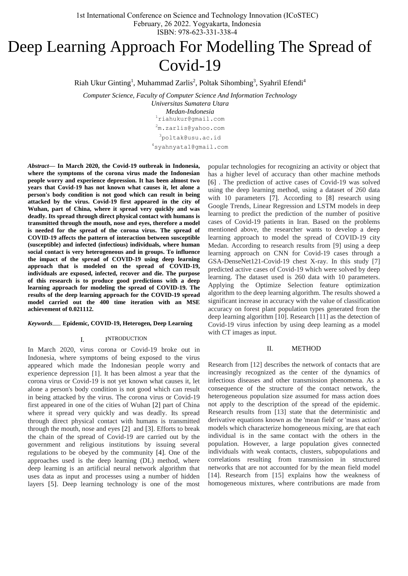1st International Conference on Science and Technology Innovation (ICoSTEC) February, 26 2022. Yogyakarta, Indonesia ISBN: 978-623-331-338-4

# Deep Learning Approach For Modelling The Spread of Covid-19

Riah Ukur Ginting<sup>1</sup>, Muhammad Zarlis<sup>2</sup>, Poltak Sihombing<sup>3</sup>, Syahril Efendi<sup>4</sup>

*Computer Science, Faculty of Computer Science And Information Technology*

*Universitas Sumatera Utara Medan-Indonesia* <sup>1</sup>[riahukur@gmail.com](mailto:1first.author@first-third.edu) <sup>2</sup>[m.zarlis@yahoo.com](mailto:2m.zarlis@yahoo.com) <sup>3</sup>poltak@usu.ac.id

<sup>4</sup>syahnyata1@gmail.com

*Abstract***— In March 2020, the Covid-19 outbreak in Indonesia, where the symptoms of the corona virus made the Indonesian people worry and experience depression. It has been almost two years that Covid-19 has not known what causes it, let alone a person's body condition is not good which can result in being attacked by the virus. Covid-19 first appeared in the city of Wuhan, part of China, where it spread very quickly and was deadly. Its spread through direct physical contact with humans is transmitted through the mouth, nose and eyes, therefore a model is needed for the spread of the corona virus. The spread of COVID-19 affects the pattern of interaction between susceptible (susceptible) and infected (infectious) individuals, where human social contact is very heterogeneous and in groups. To influence the impact of the spread of COVID-19 using deep learning approach that is modeled on the spread of COVID-19, individuals are exposed, infected, recover and die. The purpose of this research is to produce good predictions with a deep learning approach for modeling the spread of COVID-19. The results of the deep learning approach for the COVID-19 spread model carried out the 400 time iteration with an MSE achievement of 0.021112.**

#### *Keywords*— **Epidemic, COVID-19, Heterogen, Deep Learning**

## I. INTRODUCTION

In March 2020, virus corona or Covid-19 broke out in Indonesia, where symptoms of being exposed to the virus appeared which made the Indonesian people worry and experience depression [1]. It has been almost a year that the corona virus or Covid-19 is not yet known what causes it, let alone a person's body condition is not good which can result in being attacked by the virus. The corona virus or Covid-19 first appeared in one of the cities of Wuhan [2] part of China where it spread very quickly and was deadly. Its spread through direct physical contact with humans is transmitted through the mouth, nose and eyes [2] and [3]. Efforts to break the chain of the spread of Covid-19 are carried out by the government and religious institutions by issuing several regulations to be obeyed by the community [4]. One of the approaches used is the deep learning (DL) method, where deep learning is an artificial neural network algorithm that uses data as input and processes using a number of hidden layers [5]. Deep learning technology is one of the most

popular technologies for recognizing an activity or object that has a higher level of accuracy than other machine methods [6] . The prediction of active cases of Covid-19 was solved using the deep learning method, using a dataset of 260 data with 10 parameters [7]. According to [8] research using Google Trends, Linear Regression and LSTM models in deep learning to predict the prediction of the number of positive cases of Covid-19 patients in Iran. Based on the problems mentioned above, the researcher wants to develop a deep learning approach to model the spread of COVID-19 city Medan. According to research results from [9] using a deep learning approach on CNN for Covid-19 cases through a GSA-DenseNet121-Covid-19 chest X-ray. In this study [7] predicted active cases of Covid-19 which were solved by deep learning. The dataset used is 260 data with 10 parameters. Applying the Optimize Selection feature optimization algorithm to the deep learning algorithm. The results showed a significant increase in accuracy with the value of classification accuracy on forest plant population types generated from the deep learning algorithm [10]. Research [11] as the detection of Covid-19 virus infection by using deep learning as a model with CT images as input.

# II. METHOD

Research from [12] describes the network of contacts that are increasingly recognized as the center of the dynamics of infectious diseases and other transmission phenomena. As a consequence of the structure of the contact network, the heterogeneous population size assumed for mass action does not apply to the description of the spread of the epidemic. Research results from [13] state that the deterministic and derivative equations known as the 'mean field' or 'mass action' models which characterize homogeneous mixing, are that each individual is in the same contact with the others in the population. However, a large population gives connected individuals with weak contacts, clusters, subpopulations and correlations resulting from transmission in structured networks that are not accounted for by the mean field model [14]. Research from [15] explains how the weakness of homogeneous mixtures, where contributions are made from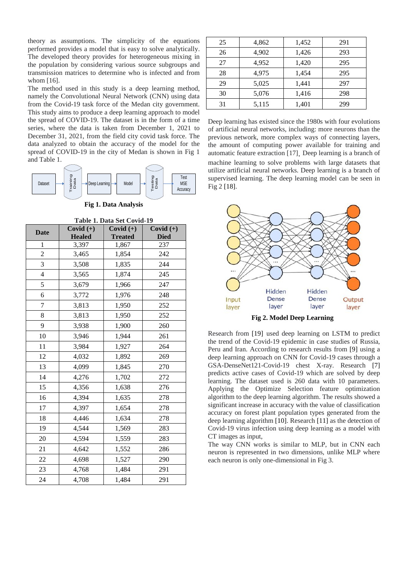theory as assumptions. The simplicity of the equations performed provides a model that is easy to solve analytically. The developed theory provides for heterogeneous mixing in the population by considering various source subgroups and transmission matrices to determine who is infected and from whom [16].

The method used in this study is a deep learning method, namely the Convolutional Neural Network (CNN) using data from the Covid-19 task force of the Medan city government. This study aims to produce a deep learning approach to model the spread of COVID-19. The dataset is in the form of a time series, where the data is taken from December 1, 2021 to December 31, 2021, from the field city covid task force. The data analyzed to obtain the accuracy of the model for the spread of COVID-19 in the city of Medan is shown in Fig 1 and Table 1.



**Fig 1. Data Analysis**

| Table 1. Data Set Covid-19 |  |
|----------------------------|--|
|----------------------------|--|

| <b>Date</b>    | Covid $(+)$   | Covid $(+)$    | Covid $(+)$ |
|----------------|---------------|----------------|-------------|
|                | <b>Healed</b> | <b>Treated</b> | <b>Died</b> |
| $\mathbf{1}$   | 3,397         | 1,867          | 237         |
| $\overline{2}$ | 3,465         | 1,854          | 242         |
| 3              | 3,508         | 1,835          | 244         |
| 4              | 3,565         | 1,874          | 245         |
| 5              | 3,679         | 1,966          | 247         |
| 6              | 3,772         | 1,976          | 248         |
| 7              | 3,813         | 1,950          | 252         |
| 8              | 3,813         | 1,950          | 252         |
| 9              | 3,938         | 1,900          | 260         |
| 10             | 3,946         | 1,944          | 261         |
| 11             | 3,984         | 1,927          | 264         |
| 12             | 4,032         | 1,892          | 269         |
| 13             | 4,099         | 1,845          | 270         |
| 14             | 4,276         | 1,702          | 272         |
| 15             | 4,356         | 1,638          | 276         |
| 16             | 4,394         | 1,635          | 278         |
| 17             | 4,397         | 1,654          | 278         |
| 18             | 4,446         | 1,634          | 278         |
| 19             | 4,544         | 1,569          | 283         |
| 20             | 4,594         | 1,559          | 283         |
| 21             | 4,642         | 1,552          | 286         |
| 22             | 4,698         | 1,527          | 290         |
| 23             | 4,768         | 1,484          | 291         |
| 24             | 4,708         | 1,484          | 291         |

| 25 | 4,862 | 1,452 | 291 |
|----|-------|-------|-----|
| 26 | 4,902 | 1,426 | 293 |
| 27 | 4,952 | 1,420 | 295 |
| 28 | 4,975 | 1,454 | 295 |
| 29 | 5,025 | 1,441 | 297 |
| 30 | 5,076 | 1,416 | 298 |
| 31 | 5,115 | 1,401 | 299 |

Deep learning has existed since the 1980s with four evolutions of artificial neural networks, including: more neurons than the previous network, more complex ways of connecting layers, the amount of computing power available for training and automatic feature extraction [17]. Deep learning is a branch of machine learning to solve problems with large datasets that utilize artificial neural networks. Deep learning is a branch of supervised learning. The deep learning model can be seen in Fig 2 [18].



**Fig 2. Model Deep Learning** 

Research from [19] used deep learning on LSTM to predict the trend of the Covid-19 epidemic in case studies of Russia, Peru and Iran. According to research results from [9] using a deep learning approach on CNN for Covid-19 cases through a GSA-DenseNet121-Covid-19 chest X-ray. Research [7] predicts active cases of Covid-19 which are solved by deep learning. The dataset used is 260 data with 10 parameters. Applying the Optimize Selection feature optimization algorithm to the deep learning algorithm. The results showed a significant increase in accuracy with the value of classification accuracy on forest plant population types generated from the deep learning algorithm [10]. Research [11] as the detection of Covid-19 virus infection using deep learning as a model with CT images as input,

The way CNN works is similar to MLP, but in CNN each neuron is represented in two dimensions, unlike MLP where each neuron is only one-dimensional in Fig 3.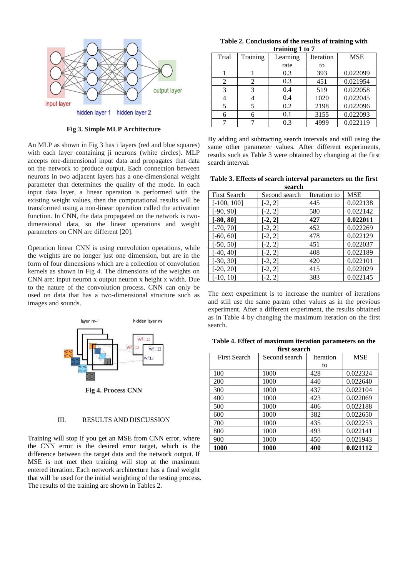

**Fig 3. Simple MLP Architecture**

An MLP as shown in Fig 3 has i layers (red and blue squares) with each layer containing ji neurons (white circles). MLP accepts one-dimensional input data and propagates that data on the network to produce output. Each connection between neurons in two adjacent layers has a one-dimensional weight parameter that determines the quality of the mode. In each input data layer, a linear operation is performed with the existing weight values, then the computational results will be transformed using a non-linear operation called the activation function. In CNN, the data propagated on the network is twodimensional data, so the linear operations and weight parameters on CNN are different [20].

Operation linear CNN is using convolution operations, while the weights are no longer just one dimension, but are in the form of four dimensions which are a collection of convolution kernels as shown in Fig 4. The dimensions of the weights on CNN are: input neuron x output neuron x height x width. Due to the nature of the convolution process, CNN can only be used on data that has a two-dimensional structure such as images and sounds.



**Fig 4. Process CNN**

# III. RESULTS AND DISCUSSION

Training will stop if you get an MSE from CNN error, where the CNN error is the desired error target, which is the difference between the target data and the network output. If MSE is not met then training will stop at the maximum entered iteration. Each network architecture has a final weight that will be used for the initial weighting of the testing process. The results of the training are shown in Tables 2.

**Table 2. Conclusions of the results of training with training 1 to 7**

| Trial | Training | Learning | Iteration | <b>MSE</b> |
|-------|----------|----------|-----------|------------|
|       |          | rate     | to        |            |
|       |          | 0.3      | 393       | 0.022099   |
| 2     | 2        | 0.3      | 451       | 0.021954   |
| 3     | 3        | 0.4      | 519       | 0.022058   |
|       |          | 0.4      | 1020      | 0.022045   |
|       |          | 0.2      | 2198      | 0.022096   |
|       |          | 0.1      | 3155      | 0.022093   |
|       |          | 0.3      | 4999      | 0.022119   |

By adding and subtracting search intervals and still using the same other parameter values. After different experiments, results such as Table 3 were obtained by changing at the first search interval.

**Table 3. Effects of search interval parameters on the first search**

| эсаі сп             |               |              |            |  |  |  |
|---------------------|---------------|--------------|------------|--|--|--|
| <b>First Search</b> | Second search | Iteration to | <b>MSE</b> |  |  |  |
| $[-100, 100]$       | $[-2, 2]$     | 445          | 0.022138   |  |  |  |
| $[-90, 90]$         | $[-2, 2]$     | 580          | 0.022142   |  |  |  |
| $[-80, 80]$         | $[-2, 2]$     | 427          | 0.022011   |  |  |  |
| $[-70, 70]$         | $[-2, 2]$     | 452          | 0.022269   |  |  |  |
| $[-60, 60]$         | $[-2, 2]$     | 478          | 0.022129   |  |  |  |
| $[-50, 50]$         | $[-2, 2]$     | 451          | 0.022037   |  |  |  |
| $[-40, 40]$         | $[-2, 2]$     | 408          | 0.022189   |  |  |  |
| $[-30, 30]$         | $[-2, 2]$     | 420          | 0.022101   |  |  |  |
| $[-20, 20]$         | $[-2, 2]$     | 415          | 0.022029   |  |  |  |
| $-10, 10$           | $[-2, 2]$     | 383          | 0.022145   |  |  |  |

The next experiment is to increase the number of iterations and still use the same param ether values as in the previous experiment. After a different experiment, the results obtained as in Table 4 by changing the maximum iteration on the first search.

|  |  |              | Table 4. Effect of maximum iteration parameters on the |  |
|--|--|--------------|--------------------------------------------------------|--|
|  |  | first search |                                                        |  |

| <b>First Search</b> | Second search | Iteration | <b>MSE</b> |
|---------------------|---------------|-----------|------------|
|                     |               | to        |            |
| 100                 | 1000          | 428       | 0.022324   |
| 200                 | 1000          | 440       | 0.022640   |
| 300                 | 1000          | 437       | 0.022104   |
| 400                 | 1000          | 423       | 0.022069   |
| 500                 | 1000          | 406       | 0.022188   |
| 600                 | 1000          | 382       | 0.022650   |
| 700                 | 1000          | 435       | 0.022253   |
| 800                 | 1000          | 493       | 0.022141   |
| 900                 | 1000          | 450       | 0.021943   |
| 1000                | 1000          | 400       | 0.021112   |